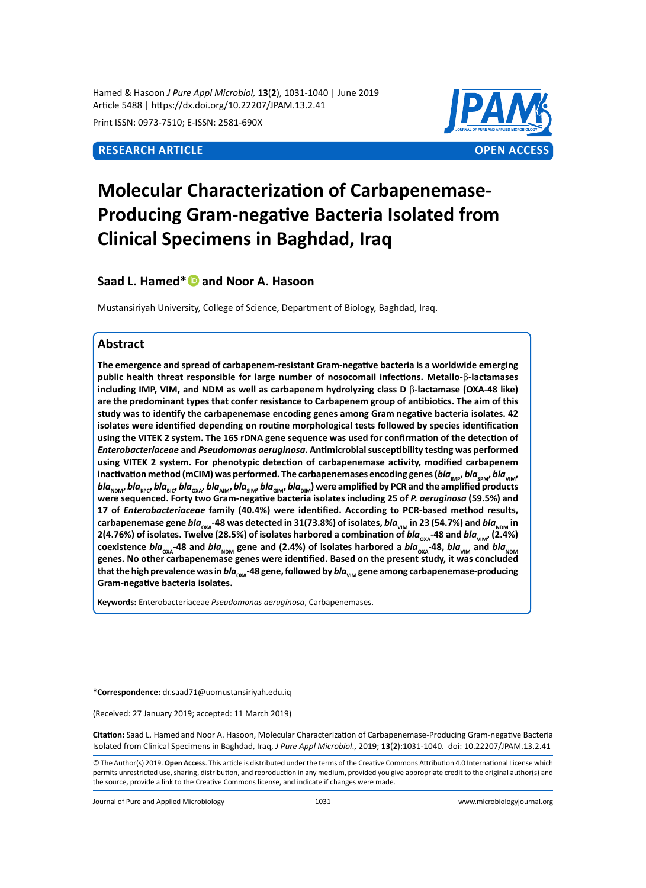Hamed & Hasoon *J Pure Appl Microbiol,* **13**(**2**), 1031-1040 | June 2019 Article 5488 | https://dx.doi.org/10.22207/JPAM.13.2.41

Print ISSN: 0973-7510; E-ISSN: 2581-690X



# **Molecular Characterization of Carbapenemase-Producing Gram-negative Bacteria Isolated from Clinical Specimens in Baghdad, Iraq**

# **Saad L. Hamed\*and Noor A. Hasoon**

Mustansiriyah University, College of Science, Department of Biology, Baghdad, Iraq.

# **Abstract**

**The emergence and spread of carbapenem-resistant Gram-negative bacteria is a worldwide emerging public health threat responsible for large number of nosocomail infections. Metallo-**β**-lactamases including IMP, VIM, and NDM as well as carbapenem hydrolyzing class D** β**-lactamase (OXA-48 like) are the predominant types that confer resistance to Carbapenem group of antibiotics. The aim of this study was to identify the carbapenemase encoding genes among Gram negative bacteria isolates. 42 isolates were identified depending on routine morphological tests followed by species identification using the VITEK 2 system. The 16S rDNA gene sequence was used for confirmation of the detection of**  *Enterobacteriaceae* **and** *Pseudomonas aeruginosa***. Antimicrobial susceptibility testing was performed using VITEK 2 system. For phenotypic detection of carbapenemase activity, modified carbapenem**  inactivation method (mCIM) was performed. The carbapenemases encoding genes (*bla*<sub>IMP</sub>, *bla*<sub>SPM</sub>, *bla*<sub>VIM</sub>, bla<sub>NDM</sub>, bla<sub>kec</sub>, bla<sub>sic</sub>, bla<sub>NM</sub>, bla<sub>NM</sub>, bla<sub>SIM</sub>, bla<sub>GIM</sub>, bla<sub>DIM</sub>) were amplified by PCR and the amplified products **were sequenced. Forty two Gram-negative bacteria isolates including 25 of** *P. aeruginosa* **(59.5%) and 17 of** *Enterobacteriaceae* **family (40.4%) were identified. According to PCR-based method results,**  carbapenemase gene  $bla_{\text{ova}}$ -48 was detected in 31(73.8%) of isolates,  $bla_{\text{VIM}}$  in 23 (54.7%) and  $bla_{\text{NIM}}$  in **2(4.76%) of isolates. Twelve (28.5%) of isolates harbored a combination of**  $bla_{oxA}$ **-48 and**  $bla_{VIM}$ **, (2.4%)** coexistence *bla*<sub>oxa</sub>-48 and *bla*<sub>NDM</sub> gene and (2.4%) of isolates harbored a *bla*<sub>oxa</sub>-48, *bla*<sub>VIM</sub> and *bla*<sub>NDM</sub> **genes. No other carbapenemase genes were identified. Based on the present study, it was concluded**  that the high prevalence was in *bla*<sub>*px*A</sub>-48 gene, followed by *bla*<sub>VM</sub> gene among carbapenemase-producing **Gram-negative bacteria isolates.**

**Keywords:** Enterobacteriaceae *Pseudomonas aeruginosa*, Carbapenemases.

**\*Correspondence:** dr.saad71@uomustansiriyah.edu.iq

(Received: 27 January 2019; accepted: 11 March 2019)

**Citation:** Saad L. Hamedand Noor A. Hasoon, Molecular Characterization of Carbapenemase-Producing Gram-negative Bacteria Isolated from Clinical Specimens in Baghdad, Iraq, *J Pure Appl Microbiol*., 2019; **13**(**2**):1031-1040. doi: 10.22207/JPAM.13.2.41

Journal of Pure and Applied Microbiology 1031 www.microbiologyjournal.org

<sup>©</sup> The Author(s) 2019. **Open Access**. This article is distributed under the terms of the Creative Commons Attribution 4.0 International License which permits unrestricted use, sharing, distribution, and reproduction in any medium, provided you give appropriate credit to the original author(s) and the source, provide a link to the Creative Commons license, and indicate if changes were made.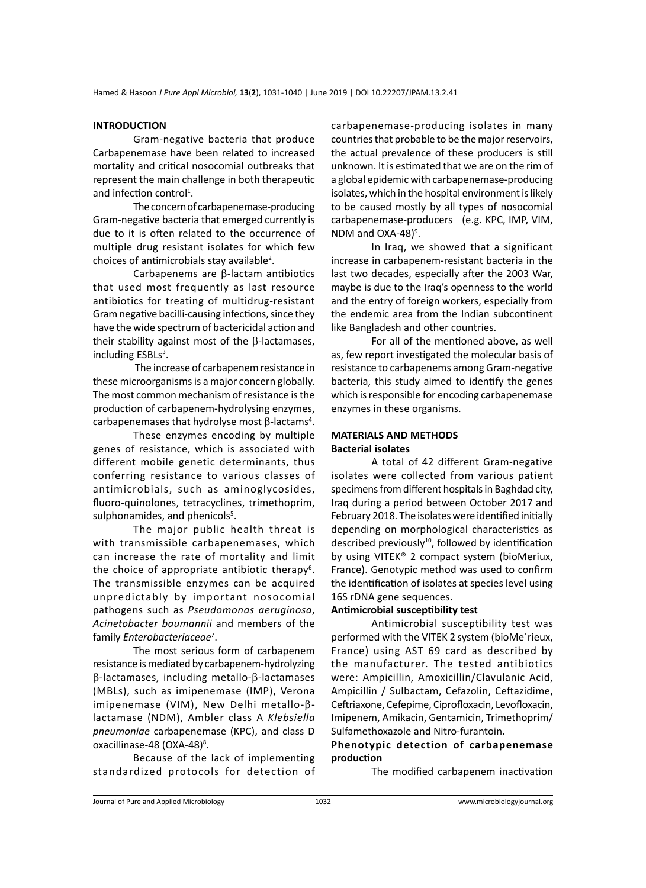#### **INTRODUCTION**

Gram-negative bacteria that produce Carbapenemase have been related to increased mortality and critical nosocomial outbreaks that represent the main challenge in both therapeutic and infection control<sup>1</sup>.

The concern of carbapenemase-producing Gram-negative bacteria that emerged currently is due to it is often related to the occurrence of multiple drug resistant isolates for which few choices of antimicrobials stay available<sup>2</sup>.

Carbapenems are β-lactam antibiotics that used most frequently as last resource antibiotics for treating of multidrug-resistant Gram negative bacilli-causing infections, since they have the wide spectrum of bactericidal action and their stability against most of the β-lactamases, including ESBLs<sup>3</sup>.

 The increase of carbapenem resistance in these microorganisms is a major concern globally. The most common mechanism of resistance is the production of carbapenem-hydrolysing enzymes, carbapenemases that hydrolyse most  $\beta$ -lactams<sup>4</sup>.

These enzymes encoding by multiple genes of resistance, which is associated with different mobile genetic determinants, thus conferring resistance to various classes of antimicrobials, such as aminoglycosides, fluoro-quinolones, tetracyclines, trimethoprim, sulphonamides, and phenicols<sup>5</sup>.

The major public health threat is with transmissible carbapenemases, which can increase the rate of mortality and limit the choice of appropriate antibiotic therapy<sup>6</sup>. The transmissible enzymes can be acquired unpredictably by important nosocomial pathogens such as *Pseudomonas aeruginosa*, *Acinetobacter baumannii* and members of the family *Enterobacteriaceae*<sup>7</sup> .

The most serious form of carbapenem resistance is mediated by carbapenem-hydrolyzing β-lactamases, including metallo-β-lactamases (MBLs), such as imipenemase (IMP), Verona imipenemase (VIM), New Delhi metallo-βlactamase (NDM), Ambler class A *Klebsiella pneumoniae* carbapenemase (KPC), and class D oxacillinase-48 (OXA-48)<sup>8</sup>.

Because of the lack of implementing standardized protocols for detection of carbapenemase-producing isolates in many countries that probable to be the major reservoirs, the actual prevalence of these producers is still unknown. It is estimated that we are on the rim of a global epidemic with carbapenemase-producing isolates, which in the hospital environment is likely to be caused mostly by all types of nosocomial carbapenemase-producers (e.g. KPC, IMP, VIM, NDM and  $OXA-48$ <sup>9</sup>.

In Iraq, we showed that a significant increase in carbapenem-resistant bacteria in the last two decades, especially after the 2003 War, maybe is due to the Iraq's openness to the world and the entry of foreign workers, especially from the endemic area from the Indian subcontinent like Bangladesh and other countries.

For all of the mentioned above, as well as, few report investigated the molecular basis of resistance to carbapenems among Gram-negative bacteria, this study aimed to identify the genes which is responsible for encoding carbapenemase enzymes in these organisms.

# **MATERIALS AND METHODS Bacterial isolates**

A total of 42 different Gram-negative isolates were collected from various patient specimens from different hospitals in Baghdad city, Iraq during a period between October 2017 and February 2018. The isolates were identified initially depending on morphological characteristics as described previously $10$ , followed by identification by using VITEK® 2 compact system (bioMeriux, France). Genotypic method was used to confirm the identification of isolates at species level using 16S rDNA gene sequences.

# **Antimicrobial susceptibility test**

Antimicrobial susceptibility test was performed with the VITEK 2 system (bioMe´rieux, France) using AST 69 card as described by the manufacturer. The tested antibiotics were: Ampicillin, Amoxicillin/Clavulanic Acid, Ampicillin / Sulbactam, Cefazolin, Ceftazidime, Ceftriaxone, Cefepime, Ciprofloxacin, Levofloxacin, Imipenem, Amikacin, Gentamicin, Trimethoprim/ Sulfamethoxazole and Nitro-furantoin.

# **Phenotypic detection of carbapenemase production**

The modified carbapenem inactivation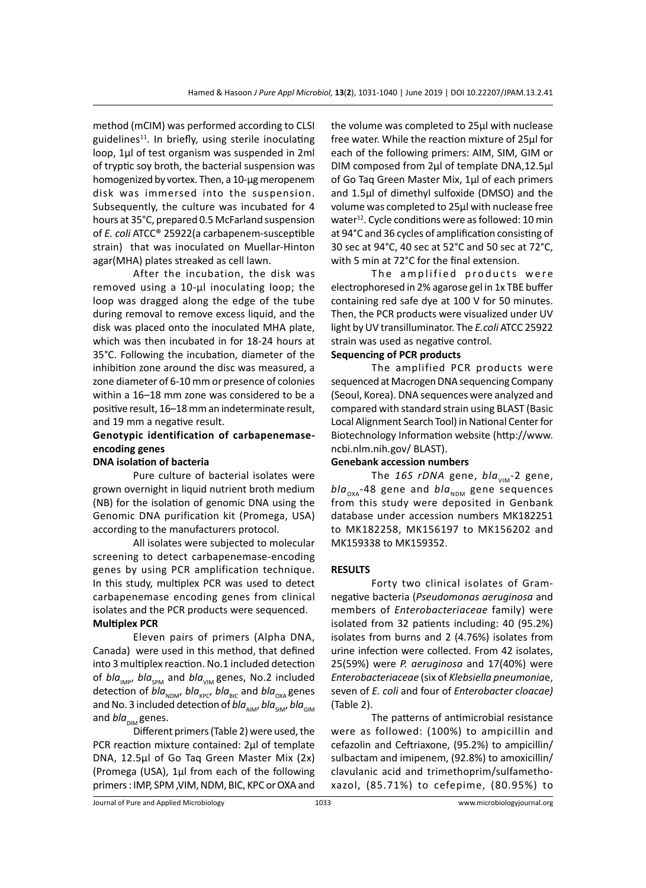method (mCIM) was performed according to CLSI guidelines $11$ . In briefly, using sterile inoculating loop, 1µl of test organism was suspended in 2ml of tryptic soy broth, the bacterial suspension was homogenized by vortex. Then, a 10-µg meropenem disk was immersed into the suspension. Subsequently, the culture was incubated for 4 hours at 35°C, prepared 0.5 McFarland suspension of *E. coli* ATCC® 25922(a carbapenem-susceptible strain) that was inoculated on Muellar-Hinton agar(MHA) plates streaked as cell lawn.

After the incubation, the disk was removed using a 10-µl inoculating loop; the loop was dragged along the edge of the tube during removal to remove excess liquid, and the disk was placed onto the inoculated MHA plate, which was then incubated in for 18-24 hours at 35°C. Following the incubation, diameter of the inhibition zone around the disc was measured, a zone diameter of 6-10 mm or presence of colonies within a 16–18 mm zone was considered to be a positive result, 16–18 mm an indeterminate result, and 19 mm a negative result.

# **Genotypic identification of carbapenemaseencoding genes**

#### **DNA isolation of bacteria**

Pure culture of bacterial isolates were grown overnight in liquid nutrient broth medium (NB) for the isolation of genomic DNA using the Genomic DNA purification kit (Promega, USA) according to the manufacturers protocol.

All isolates were subjected to molecular screening to detect carbapenemase-encoding genes by using PCR amplification technique. In this study, multiplex PCR was used to detect carbapenemase encoding genes from clinical isolates and the PCR products were sequenced. **Multiplex PCR**

Eleven pairs of primers (Alpha DNA, Canada) were used in this method, that defined into 3 multiplex reaction. No.1 included detection of *bla<sub>IMP</sub>*, *bla*<sub>SPM</sub> and *bla*<sub>VIM</sub> genes, No.2 included detection of *bla<sub>NDM</sub>*, *bla*<sub>KPC</sub>, *bla*<sub>BIC</sub> and *bla*<sub>OXA</sub> genes and No. 3 included detection of *bla<sub>AIM</sub>*, *bla<sub>SIM</sub>*, *bla*<sub>GIM</sub> and *bla*<sub>nim</sub> genes.

Different primers (Table 2) were used, the PCR reaction mixture contained: 2µl of template DNA, 12.5µl of Go Taq Green Master Mix (2x) (Promega (USA), 1µl from each of the following primers : IMP, SPM ,VIM, NDM, BIC, KPC or OXA and the volume was completed to 25µl with nuclease free water. While the reaction mixture of 25µl for each of the following primers: AIM, SIM, GIM or DIM composed from 2µl of template DNA,12.5µl of Go Taq Green Master Mix, 1µl of each primers and 1.5µl of dimethyl sulfoxide (DMSO) and the volume was completed to 25µl with nuclease free water<sup>12</sup>. Cycle conditions were as followed: 10 min at 94°C and 36 cycles of amplification consisting of 30 sec at 94°C, 40 sec at 52°C and 50 sec at 72°C, with 5 min at 72°C for the final extension.

The amplified products were electrophoresed in 2% agarose gel in 1x TBE buffer containing red safe dye at 100 V for 50 minutes. Then, the PCR products were visualized under UV light by UV transilluminator. The *E.coli* ATCC 25922 strain was used as negative control.

# **Sequencing of PCR products**

The amplified PCR products were sequenced at Macrogen DNA sequencing Company (Seoul, Korea). DNA sequences were analyzed and compared with standard strain using BLAST (Basic Local Alignment Search Tool) in National Center for Biotechnology Information website (http://www. ncbi.nlm.nih.gov/ BLAST).

### **Genebank accession numbers**

The 16S rDNA gene, *bla*<sub>VIM</sub>-2 gene, *bla*<sub>OXA</sub>-48 gene and *bla*<sub>NDM</sub> gene sequences from this study were deposited in Genbank database under accession numbers MK182251 to MK182258, MK156197 to MK156202 and MK159338 to MK159352.

#### **RESULTS**

Forty two clinical isolates of Gramnegative bacteria (*Pseudomonas aeruginosa* and members of *Enterobacteriaceae* family) were isolated from 32 patients including: 40 (95.2%) isolates from burns and 2 (4.76%) isolates from urine infection were collected. From 42 isolates, 25(59%) were *P. aeruginosa* and 17(40%) were *Enterobacteriaceae* (six of *Klebsiella pneumonia*e, seven of *E. coli* and four of *Enterobacter cloacae)* (Table 2).

The patterns of antimicrobial resistance were as followed: (100%) to ampicillin and cefazolin and Ceftriaxone, (95.2%) to ampicillin/ sulbactam and imipenem, (92.8%) to amoxicillin/ clavulanic acid and trimethoprim/sulfamethoxazol, (85.71%) to cefepime, (80.95%) to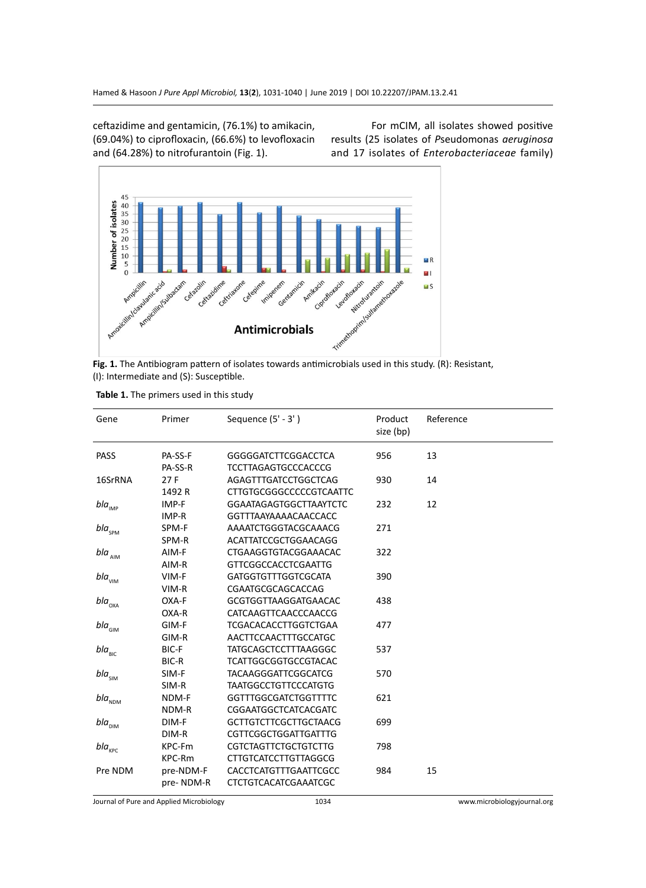ceftazidime and gentamicin, (76.1%) to amikacin, (69.04%) to ciprofloxacin, (66.6%) to levofloxacin and (64.28%) to nitrofurantoin (Fig. 1).

For mCIM, all isolates showed positive results (25 isolates of *P*seudomonas *aeruginosa* and 17 isolates of *Enterobacteriaceae* family)



**Fig. 1.** The Antibiogram pattern of isolates towards antimicrobials used in this study. (R): Resistant, (I): Intermediate and (S): Susceptible.

| Table 1. The primers used in this study |  |  |  |
|-----------------------------------------|--|--|--|
|-----------------------------------------|--|--|--|

| Gene                                     | Primer                                | Sequence $(5' - 3')$           | Product<br>size (bp) | Reference |
|------------------------------------------|---------------------------------------|--------------------------------|----------------------|-----------|
| <b>PASS</b>                              | PA-SS-F                               | <b>GGGGGATCTTCGGACCTCA</b>     | 956                  | 13        |
|                                          | PA-SS-R                               | <b>TCCTTAGAGTGCCCACCCG</b>     |                      |           |
| 16SrRNA                                  | 27F                                   | AGAGTTTGATCCTGGCTCAG           | 930                  | 14        |
|                                          | 1492R                                 | <b>CTTGTGCGGGCCCCCGTCAATTC</b> |                      |           |
| $bla_{_{\sf IMP}}$                       | IMP-F                                 | <b>GGAATAGAGTGGCTTAAYTCTC</b>  | 232                  | 12        |
|                                          | IMP-R                                 | <b>GGTTTAAYAAAAACAACCACC</b>   |                      |           |
| bla $_{\rm spM}$                         | SPM-F                                 | AAAATCTGGGTACGCAAACG           | 271                  |           |
|                                          | SPM-R                                 | <b>ACATTATCCGCTGGAACAGG</b>    |                      |           |
| $bla_{_{\rm{AIM}}}$                      | AIM-F                                 | CTGAAGGTGTACGGAAACAC           | 322                  |           |
|                                          | AIM-R                                 | <b>GTTCGGCCACCTCGAATTG</b>     |                      |           |
| $bla_{\rm VIM}$                          | VIM-F                                 | <b>GATGGTGTTTGGTCGCATA</b>     | 390                  |           |
|                                          | VIM-R                                 | CGAATGCGCAGCACCAG              |                      |           |
| $bla_{_{\rm OXA}}$                       | OXA-F                                 | <b>GCGTGGTTAAGGATGAACAC</b>    | 438                  |           |
|                                          | OXA-R                                 | CATCAAGTTCAACCCAACCG           |                      |           |
| $bla_{\scriptscriptstyle\rm GIM}$        | GIM-F                                 | <b>TCGACACACCTTGGTCTGAA</b>    | 477                  |           |
|                                          | GIM-R                                 | AACTTCCAACTTTGCCATGC           |                      |           |
| $bla_{\text{BIC}}$                       | BIC-F                                 | <b>TATGCAGCTCCTTTAAGGGC</b>    | 537                  |           |
|                                          | BIC-R                                 | <b>TCATTGGCGGTGCCGTACAC</b>    |                      |           |
| $bla_{\scriptscriptstyle{\mathsf{SIM}}}$ | SIM-F                                 | <b>TACAAGGGATTCGGCATCG</b>     | 570                  |           |
|                                          | SIM-R                                 | <b>TAATGGCCTGTTCCCATGTG</b>    |                      |           |
| $bla_{_{\rm NDM}}$                       | NDM-F                                 | <b>GGTTTGGCGATCTGGTTTTC</b>    | 621                  |           |
|                                          | NDM-R                                 | CGGAATGGCTCATCACGATC           |                      |           |
| $bla_{_{\rm DIM}}$                       | DIM-F<br><b>GCTTGTCTTCGCTTGCTAACG</b> | 699                            |                      |           |
|                                          | DIM-R                                 | <b>CGTTCGGCTGGATTGATTTG</b>    |                      |           |
| $bla_{_{\rm KPC}}$                       | KPC-Fm                                | <b>CGTCTAGTTCTGCTGTCTTG</b>    | 798                  |           |
|                                          | KPC-Rm                                | <b>CTTGTCATCCTTGTTAGGCG</b>    |                      |           |
| Pre NDM                                  | pre-NDM-F                             | CACCTCATGTTTGAATTCGCC          | 984                  | 15        |
|                                          | pre-NDM-R                             | <b>CTCTGTCACATCGAAATCGC</b>    |                      |           |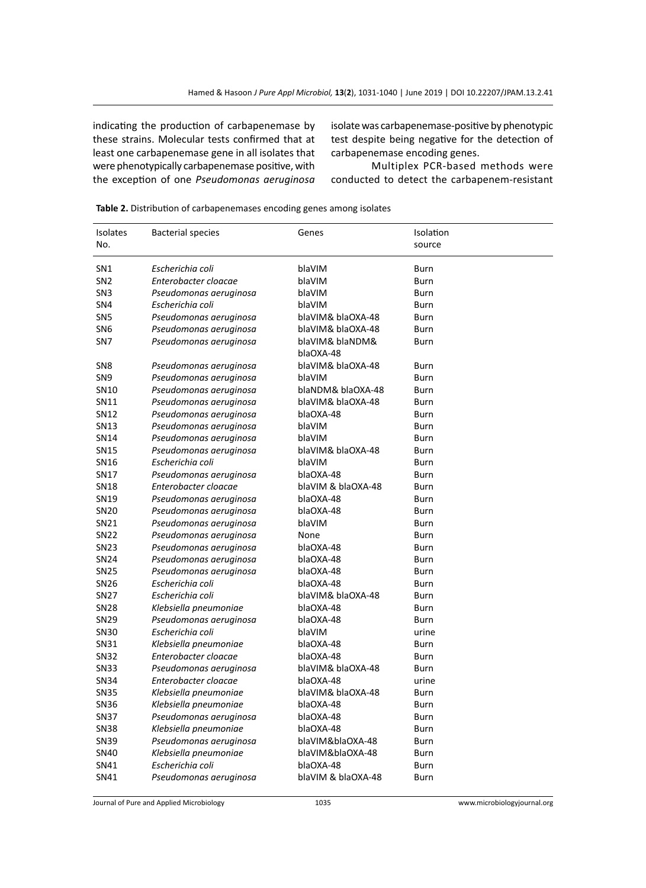indicating the production of carbapenemase by these strains. Molecular tests confirmed that at least one carbapenemase gene in all isolates that were phenotypically carbapenemase positive, with the exception of one *Pseudomonas aeruginosa* 

isolate was carbapenemase-positive by phenotypic test despite being negative for the detection of carbapenemase encoding genes.

Multiplex PCR-based methods were conducted to detect the carbapenem-resistant

| Isolates<br>No.  | <b>Bacterial species</b> | Genes                        | Isolation<br>source |
|------------------|--------------------------|------------------------------|---------------------|
|                  |                          |                              |                     |
| SN1              | Escherichia coli         | blaVIM                       | Burn                |
| SN <sub>2</sub>  | Enterobacter cloacae     | blaVIM                       | Burn                |
| SN <sub>3</sub>  | Pseudomonas aeruginosa   | blaVIM                       | Burn                |
| SN4              | Escherichia coli         | blaVIM                       | Burn                |
| SN <sub>5</sub>  | Pseudomonas aeruginosa   | blaVIM& blaOXA-48            | Burn                |
| SN <sub>6</sub>  | Pseudomonas aeruginosa   | blaVIM& blaOXA-48            | Burn                |
| SN7              | Pseudomonas aeruginosa   | blaVIM& blaNDM&<br>blaOXA-48 | Burn                |
| SN8              | Pseudomonas aeruginosa   | blaVIM& blaOXA-48            | Burn                |
| SN <sub>9</sub>  | Pseudomonas aeruginosa   | blaVIM                       | Burn                |
| SN10             | Pseudomonas aeruginosa   | blaNDM& blaOXA-48            | Burn                |
| SN11             | Pseudomonas aeruginosa   | blaVIM& blaOXA-48            | Burn                |
| SN12             | Pseudomonas aeruginosa   | blaOXA-48                    | Burn                |
| SN13             | Pseudomonas aeruginosa   | blaVIM                       | Burn                |
| SN14             | Pseudomonas aeruginosa   | blaVIM                       | Burn                |
| SN15             | Pseudomonas aeruginosa   | blaVIM& blaOXA-48            | Burn                |
| SN16             | Escherichia coli         | blaVIM                       | Burn                |
| SN17             | Pseudomonas aeruginosa   | blaOXA-48                    | <b>Burn</b>         |
| SN18             | Enterobacter cloacae     | blaVIM & blaOXA-48           | Burn                |
| SN19             | Pseudomonas aeruginosa   | blaOXA-48                    | Burn                |
| <b>SN20</b>      | Pseudomonas aeruginosa   | blaOXA-48                    | Burn                |
| SN21             | Pseudomonas aeruginosa   | blaVIM                       | Burn                |
| SN22             | Pseudomonas aeruginosa   | None                         | Burn                |
| <b>SN23</b>      | Pseudomonas aeruginosa   | blaOXA-48                    | Burn                |
| SN24             | Pseudomonas aeruginosa   | blaOXA-48                    | Burn                |
| <b>SN25</b>      | Pseudomonas aeruginosa   | blaOXA-48                    | Burn                |
| <b>SN26</b>      | Escherichia coli         | blaOXA-48                    | Burn                |
| <b>SN27</b>      | Escherichia coli         | blaVIM& blaOXA-48            | Burn                |
| <b>SN28</b>      | Klebsiella pneumoniae    | blaOXA-48                    | Burn                |
| SN <sub>29</sub> | Pseudomonas aeruginosa   | blaOXA-48                    | Burn                |
| <b>SN30</b>      | Escherichia coli         | blaVIM                       | urine               |
| SN31             | Klebsiella pneumoniae    | blaOXA-48                    | Burn                |
| <b>SN32</b>      | Enterobacter cloacae     | blaOXA-48                    | Burn                |
| <b>SN33</b>      | Pseudomonas aeruginosa   | blaVIM& blaOXA-48            | Burn                |
| <b>SN34</b>      | Enterobacter cloacae     | blaOXA-48                    | urine               |
| <b>SN35</b>      | Klebsiella pneumoniae    | blaVIM& blaOXA-48            | Burn                |
| <b>SN36</b>      | Klebsiella pneumoniae    | blaOXA-48                    | Burn                |
| SN37             | Pseudomonas aeruginosa   | blaOXA-48                    | Burn                |
| <b>SN38</b>      | Klebsiella pneumoniae    | blaOXA-48                    | Burn                |
| SN39             | Pseudomonas aeruginosa   | blaVIM&blaOXA-48             | Burn                |
| <b>SN40</b>      | Klebsiella pneumoniae    | blaVIM&blaOXA-48             | Burn                |
| SN41             | Escherichia coli         | blaOXA-48                    | Burn                |
| SN41             | Pseudomonas aeruginosa   | blaVIM & blaOXA-48           | Burn                |

Journal of Pure and Applied Microbiology 1035 www.microbiologyjournal.org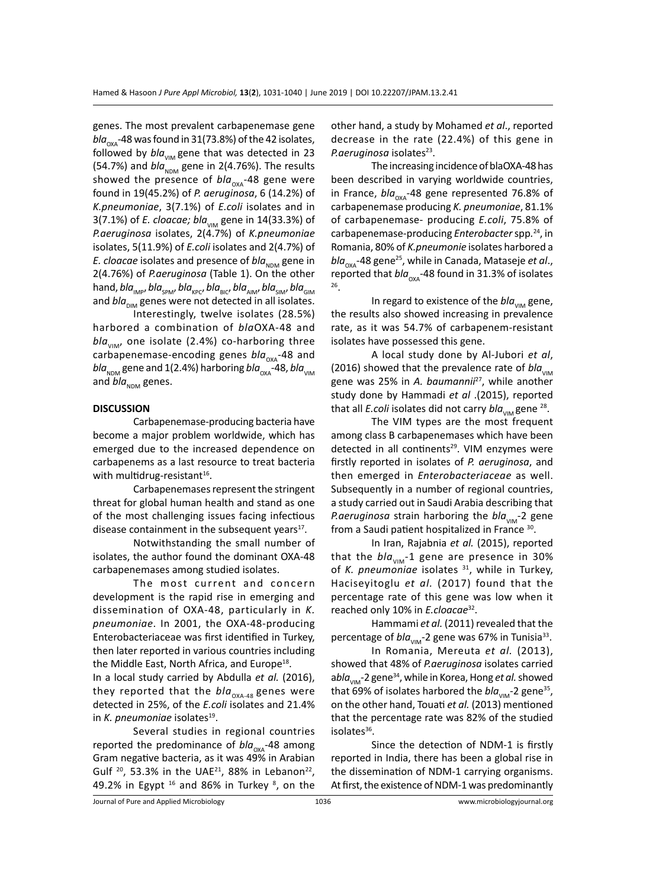genes. The most prevalent carbapenemase gene  $bla_{\alpha x}$ -48 was found in 31(73.8%) of the 42 isolates, followed by  $bla_{VIM}$  gene that was detected in 23 (54.7%) and  $bla_{NDM}$  gene in 2(4.76%). The results showed the presence of  $bla_{\alpha x}$ -48 gene were found in 19(45.2%) of *P. aeruginosa*, 6 (14.2%) of *K.pneumoniae*, 3(7.1%) of *E.coli* isolates and in 3(7.1%) of *E. cloacae; bla<sub>vIM</sub>* gene in 14(33.3%) of *P.aeruginosa* isolates, 2(4.7%) of *K.pneumoniae* isolates, 5(11.9%) of *E.coli* isolates and 2(4.7%) of *E. cloacae* isolates and presence of *bla*<sub>NDM</sub> gene in 2(4.76%) of *P.aeruginosa* (Table 1). On the other hand, *bla<sub>IMP</sub>, bla<sub>SPM</sub>, bla<sub>kPC</sub>, bla<sub>BIC</sub>, bla<sub>AIM</sub>, bla<sub>SIM</sub>, bla<sub>GIM</sub>* and  $bla_{\text{DM}}$  genes were not detected in all isolates.

Interestingly, twelve isolates (28.5%) harbored a combination of *bla*OXA-48 and  $bla_{\text{VIM}}$ , one isolate (2.4%) co-harboring three carbapenemase-encoding genes *bla<sub>oxA</sub>*-48 and  $b/a<sub>NDM</sub>$  gene and 1(2.4%) harboring *bla*<sub>OXA</sub>-48, *bla*<sub>VIM</sub> and *bla*<sub>NDM</sub> genes.

#### **DISCUSSION**

Carbapenemase-producing bacteria have become a major problem worldwide, which has emerged due to the increased dependence on carbapenems as a last resource to treat bacteria with multidrug-resistant $16$ .

Carbapenemases represent the stringent threat for global human health and stand as one of the most challenging issues facing infectious disease containment in the subsequent years $17$ .

Notwithstanding the small number of isolates, the author found the dominant OXA-48 carbapenemases among studied isolates.

The most current and concern development is the rapid rise in emerging and dissemination of OXA-48, particularly in *K. pneumoniae*. In 2001, the OXA-48-producing Enterobacteriaceae was first identified in Turkey, then later reported in various countries including the Middle East, North Africa, and Europe<sup>18</sup>.

In a local study carried by Abdulla *et al.* (2016), they reported that the  $bla_{\alpha_{\text{MA-48}}}$  genes were detected in 25%, of the *E.coli* isolates and 21.4% in *K. pneumoniae* isolates<sup>19</sup>.

Several studies in regional countries reported the predominance of  $bla_{\alpha x}$ -48 among Gram negative bacteria, as it was 49% in Arabian Gulf  $20$ , 53.3% in the UAE<sup>21</sup>, 88% in Lebanon<sup>22</sup>, 49.2% in Egypt  $16$  and 86% in Turkey  $8$ , on the other hand, a study by Mohamed *et al*., reported decrease in the rate (22.4%) of this gene in P.aeruginosa isolates<sup>23</sup>.

The increasing incidence of blaOXA-48 has been described in varying worldwide countries, in France, *bla<sub>oxa</sub>*-48 gene represented 76.8% of carbapenemase producing *K. pneumoniae*, 81.1% of carbapenemase- producing *E.coli*, 75.8% of carbapenemase-producing *Enterobacter* spp*.* <sup>24</sup>, in Romania, 80% of *K.pneumonie* isolates harbored a *bla*<sub>oxa</sub>-48 gene<sup>25</sup>, while in Canada, Mataseje *et al.*, reported that *bla*<sub>OXA</sub>-48 found in 31.3% of isolates 26

In regard to existence of the *bla<sub>VIM</sub>* gene, the results also showed increasing in prevalence rate, as it was 54.7% of carbapenem-resistant isolates have possessed this gene.

A local study done by Al-Jubori *et al*, (2016) showed that the prevalence rate of  $bla_{VIM}$ gene was 25% in *A. baumannii*<sup>27</sup>, while another study done by Hammadi *et al* .(2015), reported that all *E.coli* isolates did not carry  $bla_{VIM}$  gene <sup>28</sup>.

The VIM types are the most frequent among class B carbapenemases which have been detected in all continents<sup>29</sup>. VIM enzymes were firstly reported in isolates of *P. aeruginosa*, and then emerged in *Enterobacteriaceae* as well. Subsequently in a number of regional countries, a study carried out in Saudi Arabia describing that *P.aeruginosa* strain harboring the *bla*<sub>VIM</sub>-2 gene from a Saudi patient hospitalized in France 30.

In Iran, Rajabnia *et al.* (2015), reported that the  $bla_{VIM}$ -1 gene are presence in 30% of *K. pneumoniae* isolates <sup>31</sup>, while in Turkey, Haciseyitoglu *et al.* (2017) found that the percentage rate of this gene was low when it reached only 10% in *E.cloacae*32.

Hammami *et al.* (2011) revealed that the percentage of  $bla_{VIM}$ -2 gene was 67% in Tunisia<sup>33</sup>.

In Romania, Mereuta *et al.* (2013), showed that 48% of *P.aeruginosa* isolates carried abla<sub>VIM</sub>-2 gene<sup>34</sup>, while in Korea, Hong *et al.* showed that 69% of isolates harbored the  $bla_{\text{max}}$ -2 gene<sup>35</sup>, on the other hand, Touati *et al.* (2013) mentioned that the percentage rate was 82% of the studied isolates $36$ .

Since the detection of NDM-1 is firstly reported in India, there has been a global rise in the dissemination of NDM-1 carrying organisms. At first, the existence of NDM-1 was predominantly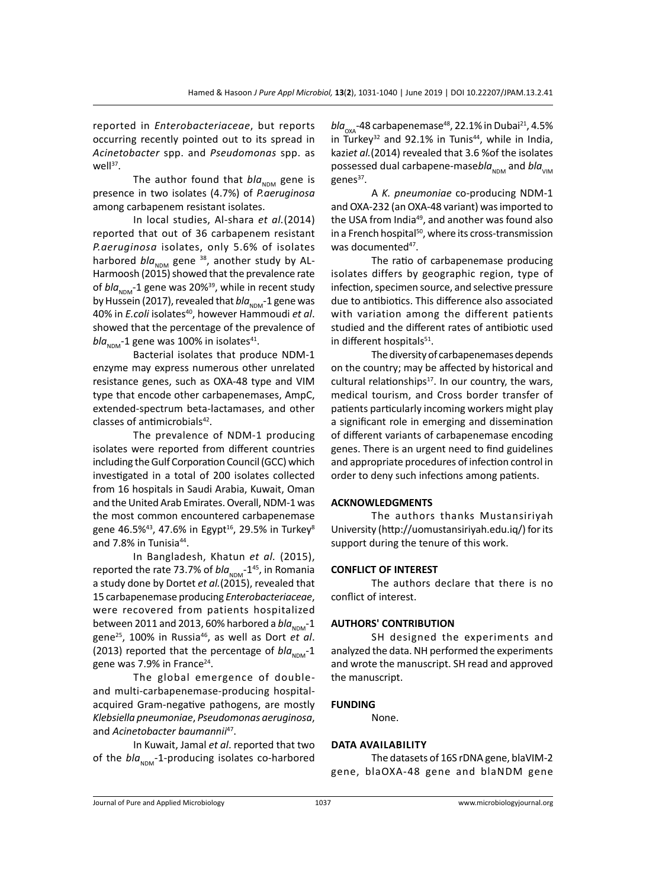reported in *Enterobacteriaceae*, but reports occurring recently pointed out to its spread in *Acinetobacter* spp. and *Pseudomonas* spp. as well $37$ .

The author found that  $bla_{NDM}$  gene is presence in two isolates (4.7%) of *P.aeruginosa* among carbapenem resistant isolates.

In local studies, Al-shara *et al.*(2014) reported that out of 36 carbapenem resistant *P.aeruginosa* isolates, only 5.6% of isolates harbored  $bla_{NDM}$  gene <sup>38</sup>, another study by AL-Harmoosh (2015) showed that the prevalence rate of *bla*<sub>NDM</sub>-1 gene was 20%<sup>39</sup>, while in recent study by Hussein (2017), revealed that *bla*<sub>NDM</sub>-1 gene was 40% in *E.coli* isolates<sup>40</sup>, however Hammoudi *et al.* showed that the percentage of the prevalence of  $bla_{NDM}$ -1 gene was 100% in isolates<sup>41</sup>.

Bacterial isolates that produce NDM-1 enzyme may express numerous other unrelated resistance genes, such as OXA-48 type and VIM type that encode other carbapenemases, AmpC, extended-spectrum beta-lactamases, and other classes of antimicrobials<sup>42</sup>.

The prevalence of NDM-1 producing isolates were reported from different countries including the Gulf Corporation Council (GCC) which investigated in a total of 200 isolates collected from 16 hospitals in Saudi Arabia, Kuwait, Oman and the United Arab Emirates. Overall, NDM-1 was the most common encountered carbapenemase gene 46.5%<sup>43</sup>, 47.6% in Egypt<sup>16</sup>, 29.5% in Turkey<sup>8</sup> and 7.8% in Tunisia<sup>44</sup>.

In Bangladesh, Khatun *et al.* (2015), reported the rate 73.7% of  $bla_{NDM}$ -1<sup>45</sup>, in Romania a study done by Dortet *et al.*(2015), revealed that 15 carbapenemase producing *Enterobacteriaceae*, were recovered from patients hospitalized between 2011 and 2013, 60% harbored a  $bla_{\text{NDM}}$ -1 gene25, 100% in Russia46, as well as Dort *et al*. (2013) reported that the percentage of  $bla_{NDM}$ -1 gene was 7.9% in France<sup>24</sup>.

The global emergence of doubleand multi-carbapenemase-producing hospitalacquired Gram-negative pathogens, are mostly *Klebsiella pneumoniae*, *Pseudomonas aeruginosa*, and *Acinetobacter baumannii*<sup>47</sup>.

In Kuwait, Jamal *et al*. reported that two of the  $bla_{NDM}$ -1-producing isolates co-harbored *bla*<sub>oxa</sub>-48 carbapenemase<sup>48</sup>, 22.1% in Dubai<sup>21</sup>, 4.5% in Turkey<sup>32</sup> and 92.1% in Tunis<sup>44</sup>, while in India, kazi*et al.*(2014) revealed that 3.6 %of the isolates possessed dual carbapene-masebla<sub>NDM</sub> and *bla*<sub>VIM</sub> genes<sup>37</sup>.

A *K. pneumoniae* co-producing NDM-1 and OXA-232 (an OXA-48 variant) was imported to the USA from India<sup>49</sup>, and another was found also in a French hospital<sup>50</sup>, where its cross-transmission was documented<sup>47</sup>.

The ratio of carbapenemase producing isolates differs by geographic region, type of infection, specimen source, and selective pressure due to antibiotics. This difference also associated with variation among the different patients studied and the different rates of antibiotic used in different hospitals<sup>51</sup>.

The diversity of carbapenemases depends on the country; may be affected by historical and cultural relationships $17$ . In our country, the wars, medical tourism, and Cross border transfer of patients particularly incoming workers might play a significant role in emerging and dissemination of different variants of carbapenemase encoding genes. There is an urgent need to find guidelines and appropriate procedures of infection control in order to deny such infections among patients.

#### **ACKNOWLEDGMENTS**

The authors thanks Mustansiriyah University (http://uomustansiriyah.edu.iq/) for its support during the tenure of this work.

### **CONFLICT OF INTEREST**

The authors declare that there is no conflict of interest.

#### **AUTHORS' CONTRIBUTION**

SH designed the experiments and analyzed the data. NH performed the experiments and wrote the manuscript. SH read and approved the manuscript.

#### **FUNDING**

None.

#### **Data availability**

The datasets of 16S rDNA gene, blaVIM-2 gene, blaOXA-48 gene and blaNDM gene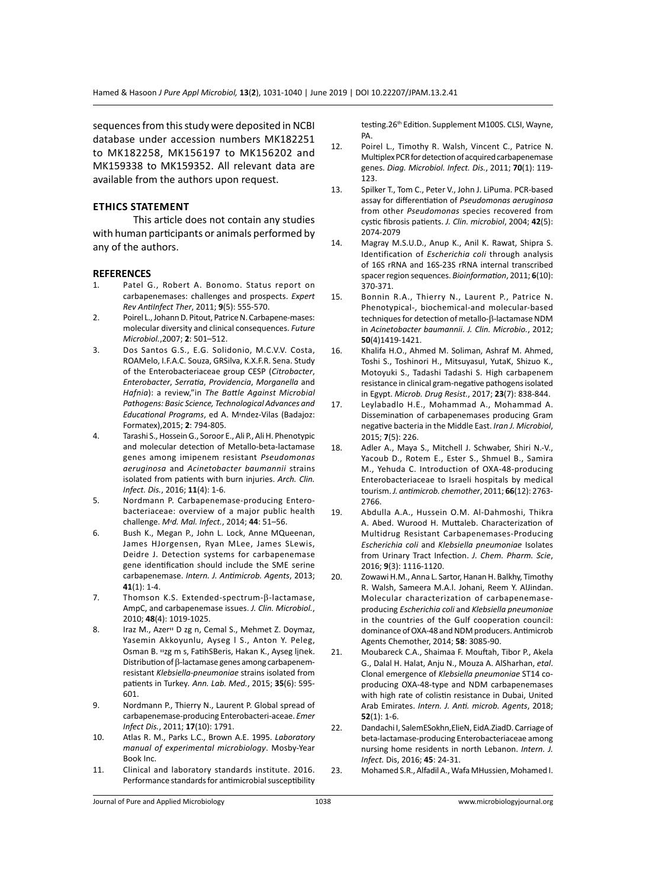sequences from this study were deposited in NCBI database under accession numbers MK182251 to MK182258, MK156197 to MK156202 and MK159338 to MK159352. All relevant data are available from the authors upon request.

### **Ethics Statement**

This article does not contain any studies with human participants or animals performed by any of the authors.

#### **REFERENCES**

- 1. Patel G., Robert A. Bonomo. Status report on carbapenemases: challenges and prospects. *Expert Rev AntiInfect Ther*, 2011; **9**(5): 555-570.
- 2. Poirel L., Johann D. Pitout, Patrice N. Carbapene-mases: molecular diversity and clinical consequences. *Future Microbiol.*,2007; **2**: 501–512.
- 3. Dos Santos G.S., E.G. Solidonio, M.C.V.V. Costa, ROAMelo, I.F.A.C. Souza, GRSilva, K.X.F.R. Sena. Study of the Enterobacteriaceae group CESP (*Citrobacter*, *Enterobacter*, *Serratia*, *Providencia*, *Morganella* and *Hafnia*): a review,"in *The Battle Against Microbial Pathogens: Basic Science, Technological Advances and Educational Programs*, ed A. Mיndez-Vilas (Badajoz: Formatex),2015; **2**: 794-805.
- 4. Tarashi S., Hossein G., Soroor E., Ali P., Ali H. Phenotypic and molecular detection of Metallo-beta-lactamase genes among imipenem resistant *Pseudomonas aeruginosa* and *Acinetobacter baumannii* strains isolated from patients with burn injuries. *Arch. Clin. Infect. Dis.*, 2016; **11**(4): 1-6.
- 5. Nordmann P. Carbapenemase-producing Enterobacteriaceae: overview of a major public health challenge. *Mיd. Mal. Infect.*, 2014; **44**: 51–56.
- 6. Bush K., Megan P., John L. Lock, Anne MQueenan, James HJorgensen, Ryan MLee, James SLewis, Deidre J. Detection systems for carbapenemase gene identification should include the SME serine carbapenemase. *Intern. J. Antimicrob. Agents*, 2013; **41**(1): 1-4.
- 7. Thomson K.S. Extended-spectrum-β-lactamase, AmpC, and carbapenemase issues. *J. Clin. Microbiol.*, 2010; **48**(4): 1019-1025.
- 8. Iraz M., Azer<sup>1</sup> D zg n, Cemal S., Mehmet Z. Doymaz, Yasemin Akkoyunlu, Ayseg I S., Anton Y. Peleg, Osman B. ײzg m s, FatihSBeris, Hakan K., Ayseg lַiחek. Distribution of β-lactamase genes among carbapenemresistant *Klebsiella-pneumoniae* strains isolated from patients in Turkey*. Ann. Lab. Med.*, 2015; **35**(6): 595- 601.
- 9. Nordmann P., Thierry N., Laurent P. Global spread of carbapenemase-producing Enterobacteri-aceae. *Emer Infect Dis.*, 2011; **17**(10): 1791.
- 10. Atlas R. M., Parks L.C., Brown A.E. 1995. *Laboratory manual of experimental microbiology*. Mosby-Year Book Inc.
- 11. Clinical and laboratory standards institute. 2016. Performance standards for antimicrobial susceptibility

testing.26<sup>th</sup> Edition. Supplement M100S. CLSI, Wayne, PA.

- 12. Poirel L., Timothy R. Walsh, Vincent C., Patrice N. Multiplex PCR for detection of acquired carbapenemase genes. *Diag. Microbiol. Infect. Dis.*, 2011; **70**(1): 119- 123.
- 13. Spilker T., Tom C., Peter V., John J. LiPuma. PCR-based assay for differentiation of *Pseudomonas aeruginosa* from other *Pseudomonas* species recovered from cystic fibrosis patients. *J. Clin. microbiol*, 2004; **42**(5): 2074-2079
- 14. Magray M.S.U.D., Anup K., Anil K. Rawat, Shipra S. Identification of *Escherichia coli* through analysis of 16S rRNA and 16S-23S rRNA internal transcribed spacer region sequences. *Bioinformation*, 2011; **6**(10): 370-371.
- 15. Bonnin R.A., Thierry N., Laurent P., Patrice N. Phenotypical-, biochemical-and molecular-based techniques for detection of metallo-β-lactamase NDM in *Acinetobacter baumannii*. *J. Clin. Microbio.*, 2012; **50**(4)1419-1421.
- 16. Khalifa H.O., Ahmed M. Soliman, Ashraf M. Ahmed, Toshi S., Toshinori H., MitsuyasuI, YutaK, Shizuo K., Motoyuki S., Tadashi Tadashi S. High carbapenem resistance in clinical gram-negative pathogens isolated in Egypt. *Microb. Drug Resist.*, 2017; **23**(7): 838-844.
- 17. Leylabadlo H.E., Mohammad A., Mohammad A. Dissemination of carbapenemases producing Gram negative bacteria in the Middle East. *Iran J. Microbiol*, 2015; **7**(5): 226.
- 18. Adler A., Maya S., Mitchell J. Schwaber, Shiri N.-V., Yacoub D., Rotem E., Ester S., Shmuel B., Samira M., Yehuda C. Introduction of OXA-48-producing Enterobacteriaceae to Israeli hospitals by medical tourism. *J. antimicrob. chemother*, 2011; **66**(12): 2763- 2766.
- 19. Abdulla A.A., Hussein O.M. Al-Dahmoshi, Thikra A. Abed. Wurood H. Muttaleb. Characterization of Multidrug Resistant Carbapenemases-Producing *Escherichia coli* and *Klebsiella pneumoniae* Isolates from Urinary Tract Infection. *J. Chem. Pharm. Scie*, 2016; **9**(3): 1116-1120.
- 20. Zowawi H.M., Anna L. Sartor, Hanan H. Balkhy, Timothy R. Walsh, Sameera M.A.l. Johani, Reem Y. AlJindan. Molecular characterization of carbapenemaseproducing *Escherichia coli* and *Klebsiella pneumoniae* in the countries of the Gulf cooperation council: dominance of OXA-48 and NDM producers. Antimicrob Agents Chemother, 2014; **58**: 3085-90.
- 21. Moubareck C.A., Shaimaa F. Mouftah, Tibor P., Akela G., Dalal H. Halat, Anju N., Mouza A. AlSharhan, *etal*. Clonal emergence of *Klebsiella pneumoniae* ST14 coproducing OXA-48-type and NDM carbapenemases with high rate of colistin resistance in Dubai, United Arab Emirates. *Intern. J. Anti. microb. Agents*, 2018; **52**(1): 1-6.
- 22. Dandachi I, SalemESokhn,ElieN, EidA.ZiadD. Carriage of beta-lactamase-producing Enterobacteriaceae among nursing home residents in north Lebanon. *Intern. J. Infect.* Dis, 2016; **45**: 24-31.
- 23. Mohamed S.R., Alfadil A., Wafa MHussien, Mohamed I.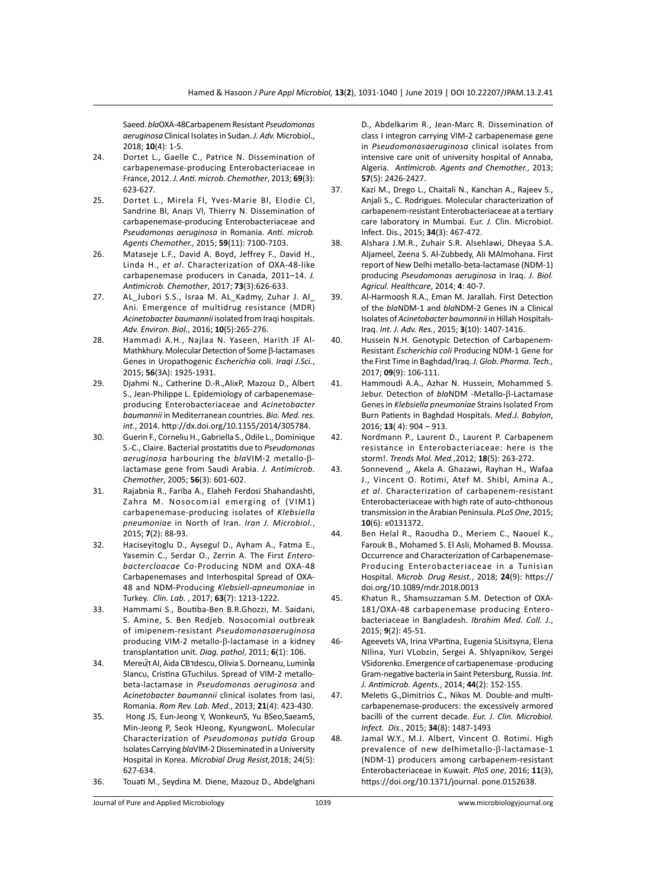Saeed. *bla*OXA-48Carbapenem Resistant *Pseudomonas aeruginosa* Clinical Isolates in Sudan. *J. Adv.* Microbiol., 2018; **10**(4): 1-5.

- 24. Dortet L., Gaelle C., Patrice N. Dissemination of carbapenemase-producing Enterobacteriaceae in France, 2012. *J. Anti. microb. Chemother*, 2013; **69**(3): 623-627.
- 25. Dortet L., Mirela Fl, Yves-Marie Bl, Elodie Cl, Sandrine Bl, Anaןs Vl, Thierry N. Dissemination of carbapenemase-producing Enterobacteriaceae and *Pseudomonas aeruginosa* in Romania. *Anti. microb. Agents Chemother.*, 2015; **59**(11): 7100-7103.
- 26. Mataseje L.F., David A. Boyd, Jeffrey F., David H., Linda H., *et al*. Characterization of OXA-48-like carbapenemase producers in Canada, 2011–14. *J. Antimicrob. Chemother*, 2017; **73**(3):626-633.
- 27. AL\_Jubori S.S., Israa M. AL\_Kadmy, Zuhar J. Al\_ Ani. Emergence of multidrug resistance (MDR) *Acinetobacter baumannii* isolated from Iraqi hospitals. *Adv. Environ. Biol.*, 2016; **10**(5):265-276.
- 28. Hammadi A.H., Najlaa N. Yaseen, Harith JF Al-Mathkhury. Molecular Detection of Some β-lactamases Genes in Uropathogenic *Escherichia* coli. *Iraqi J.Sci.*, 2015; **56**(3A): 1925-1931.
- 29. Djahmi N., Catherine D.-R.,AlixP, Mazouz D., Albert S., Jean-Philippe L. Epidemiology of carbapenemaseproducing Enterobacteriaceae and *Acinetobacter baumannii* in Mediterranean countries. *Bio. Med. res. int.*, 2014. http://dx.doi.org/10.1155/2014/305784.
- 30. Guerin F., Corneliu H., Gabriella S., Odile L., Dominique S.-C., Claire. Bacterial prostatitis due to *Pseudomonas aeruginosa* harbouring the *bla*VIM-2 metallo-βlactamase gene from Saudi Arabia. *J. Antimicrob. Chemother*, 2005; **56**(3): 601-602.
- 31. Rajabnia R., Fariba A., Elaheh Ferdosi Shahandashti, Zahra M. Nosocomial emerging of (VIM1) carbapenemase-producing isolates of *Klebsiella pneumoniae* in North of Iran. *Iran J. Microbiol.*, 2015; **7**(2): 88-93.
- 32. Haciseyitoglu D., Aysegul D., Ayham A., Fatma E., Yasemin C., Serdar O., Zerrin A. The First *Enterobactercloacae* Co-Producing NDM and OXA-48 Carbapenemases and Interhospital Spread of OXA-48 and NDM-Producing *Klebsiell-apneumoniae* in Turkey. *Clin. Lab.* , 2017; **63**(7): 1213-1222.
- 33. Hammami S., Boutiba-Ben B.R.Ghozzi, M. Saidani, S. Amine, S. Ben Redjeb. Nosocomial outbreak of imipenem-resistant *Pseudomonasaeruginosa* producing VIM-2 metallo-β-lactamase in a kidney transplantation unit. *Diag. pathol*, 2011; **6**(1): 106.
- 34. Mereur AI, Aida CB Tdescu, Olivia S. Dorneanu, Luminia SIancu, Cristina GTuchilus. Spread of VIM-2 metallobeta-lactamase in *Pseudomonas aeruginosa* and *Acinetobacter baumannii* clinical isolates from Iasi, Romania. *Rom Rev. Lab. Med.*, 2013; **21**(4): 423-430.
- 35. Hong JS, Eun-Jeong Y, WonkeunS, Yu BSeo,SaeamS, Min-Jeong P, Seok HJeong, KyungwonL. Molecular Characterization of *Pseudomonas putida* Group Isolates Carrying *bla*VIM-2 Disseminated in a University Hospital in Korea. *Microbial Drug Resist,*2018; 24(5): 627-634.
- 36. Touati M., Seydina M. Diene, Mazouz D., Abdelghani

D., Abdelkarim R., Jean-Marc R. Dissemination of class I integron carrying VIM-2 carbapenemase gene in *Pseudomonasaeruginosa* clinical isolates from intensive care unit of university hospital of Annaba, Algeria. *Antimicrob. Agents and Chemother.*, 2013; **57**(5): 2426-2427.

- 37. Kazi M., Drego L., Chaitali N., Kanchan A., Rajeev S., Anjali S., C. Rodrigues. Molecular characterization of carbapenem-resistant Enterobacteriaceae at a tertiary care laboratory in Mumbai. Eur. *J.* Clin. Microbiol. Infect. Dis., 2015; **34**(3): 467-472.
- 38. Alshara J.M.R., Zuhair S.R. Alsehlawi, Dheyaa S.A. Aljameel, Zeena S. Al-Zubbedy, Ali MAlmohana. First report of New Delhi metallo-beta-lactamase (NDM-1) producing *Pseudomonas aeruginosa* in Iraq. *J. Biol. Agricul. Healthcare*, 2014; **4**: 40-7.
- 39. Al-Harmoosh R.A., Eman M. Jarallah. First Detection of the *bla*NDM-1 and *bla*NDM-2 Genes IN a Clinical Isolates of *Acinetobacter baumannii* in Hillah Hospitals-Iraq. *Int. J. Adv. Res.*, 2015; **3**(10): 1407-1416.
- 40. Hussein N.H. Genotypic Detection of Carbapenem-Resistant *Escherichia coli* Producing NDM-1 Gene for the First Time in Baghdad/Iraq. *J. Glob. Pharma. Tech.,* 2017; **09**(9): 106-111.
- 41. Hammoudi A.A., Azhar N. Hussein, Mohammed S. Jebur. Detection of *bla*NDM -Metallo-β-Lactamase Genes in *Klebsiella pneumoniae* Strains Isolated From Burn Patients in Baghdad Hospitals. *Med.J. Babylon*, 2016; **13**( 4): 904 – 913.
- 42. Nordmann P., Laurent D., Laurent P. Carbapenem resistance in Enterobacteriaceae: here is the storm!. *Trends Mol. Med.*,2012; **18**(5): 263-272.
- 43. Sonnevend "Akela A. Ghazawi, Rayhan H., Wafaa J., Vincent O. Rotimi, Atef M. Shibl, Amina A., *et al*. Characterization of carbapenem-resistant Enterobacteriaceae with high rate of auto-chthonous transmission in the Arabian Peninsula. *PLoS One*, 2015; **10**(6): e0131372.
- 44. Ben Helal R., Raoudha D., Meriem C., Naouel K., Farouk B., Mohamed S. El Asli, Mohamed B. Moussa. Occurrence and Characterization of Carbapenemase-Producing Enterobacteriaceae in a Tunisian Hospital. *Microb. Drug Resist.*, 2018; **24**(9): https:// doi.org/10.1089/mdr.2018.0013
- 45. Khatun R., Shamsuzzaman S.M. Detection of OXA-181/OXA-48 carbapenemase producing Enterobacteriaceae in Bangladesh. *Ibrahim Med. Coll. J.*, 2015; **9**(2): 45-51.
- 46- Ageevets VA, Irina VPartina, Eugenia SLisitsyna, Elena NIlina, Yuri VLobzin, Sergei A. Shlyapnikov, Sergei VSidorenko. Emergence of carbapenemase -producing Gram-negative bacteria in Saint Petersburg, Russia. *Int. J. Antimicrob. Agents.*, 2014; **44**(2): 152-155.
- 47. Meletis G.,Dimitrios C., Nikos M. Double-and multicarbapenemase-producers: the excessively armored bacilli of the current decade. *Eur. J. Clin. Microbiol. Infect. Dis.*, 2015; **34**(8): 1487-1493
- 48. Jamal W.Y., M.J. Albert, Vincent O. Rotimi. High prevalence of new delhimetallo-β-lactamase-1 (NDM-1) producers among carbapenem-resistant Enterobacteriaceae in Kuwait. *PloS one*, 2016; **11**(3), https://doi.org/10.1371/journal. pone.0152638.

Journal of Pure and Applied Microbiology 1039 www.microbiologyjournal.org